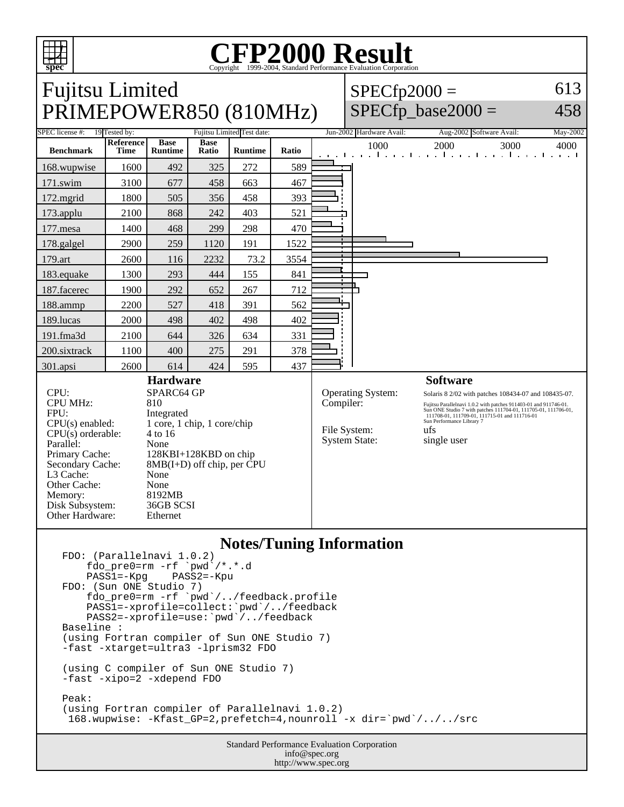

#### **CFP2000 Result** Copyright  $©1999-2004$ , Standard P

# Fujitsu Limited PRIMEPOWER850 (810MHz)

 $SPECfp2000 =$ 613

458

## $SPECfp\_base2000 =$

SPEC license #: 19 Tested by: Fujitsu Limited Test date: Jun-2002 Hardware Avail: Aug-2002 Software Avail: May-2002 **Base Reference Base Runtime Ratio** 1000 2000 3000 4000 **Benchmark Runtime Time** ┑ 168.wupwise 1600 492 325 272 589 171.swim | 3100 | 677 | 458 | 663 | 467 172.mgrid | 1800 | 505 | 356 | 458 | 393 173.applu | 2100 | 868 | 242 | 403 | 521 177.mesa | 1400 | 468 | 299 | 298 | 470 178.galgel | 2900 | 259 | 1120 | 191 | 1522 179.art 2600 116 2232 73.2 3554 183.equake 1300 293 444 155 841 187.facerec | 1900 | 292 | 652 | 267 | 712 188.ammp | 2200 | 527 | 418 | 391 | 562 189.lucas | 2000 | 498 | 402 | 498 | 402 191.fma3d | 2100 | 644 | 326 | 634 | 331 200.sixtrack 1100 400 275 291 378 301.apsi 2600 614 424 595 437 **Hardware Software** CPU: SPARC64 GP Operating System: Solaris 8 2/02 with patches 108434-07 and 108435-07. CPU MHz: 810 Compiler: Fujitsu Parallelnavi 1.0.2 with patches 911403-01 and 911746-01.<br>
Sun ONE Studio 7 with patches 111704-01, 111705-01, 111706-01,<br>
111708-01, 111708-01, 111708-01, 111715-01<br>
Sun Performance Library 7 FPU: Integrated CPU(s) enabled: 1 core, 1 chip, 1 core/chip File System: ufs  $CPU(s)$  orderable:  $4 to 16$ System State: single user Parallel: None<br>Primary Cache: 128K 128KBI+128KBD on chip Secondary Cache: 8MB(I+D) off chip, per CPU L3 Cache: None Other Cache: None Memory: 8192MB Disk Subsystem: 36GB SCSI Other Hardware: Ethernet

#### **Notes/Tuning Information**

```
FDO: (Parallelnavi 1.0.2)
    fdo_pre0=rm -rf `pwd<sup>`</sup>/*.*.d<br>PASS1=-Kpg PASS2=-Kpu
    PASS1=-KpgFDO: (Sun ONE Studio 7)
 fdo_pre0=rm -rf `pwd`/../feedback.profile
 PASS1=-xprofile=collect:`pwd`/../feedback
 PASS2=-xprofile=use:`pwd`/../feedback
Baseline :
(using Fortran compiler of Sun ONE Studio 7)
-fast -xtarget=ultra3 -lprism32 FDO
(using C compiler of Sun ONE Studio 7)
-fast -xipo=2 -xdepend FDO
Peak:
(using Fortran compiler of Parallelnavi 1.0.2)
  168.wupwise: -Kfast_GP=2,prefetch=4,nounroll -x dir=`pwd`/../../src
```
Standard Performance Evaluation Corporation info@spec.org http://www.spec.org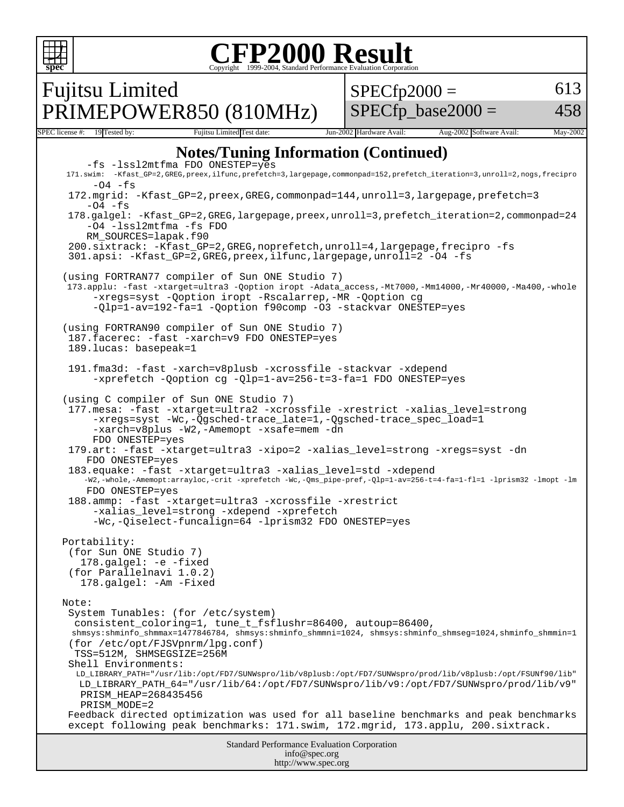

 $SPECfp2000 =$ SPECfp base2000  $=$  613 458

## **Notes/Tuning Information (Continued)**

Standard Performance Evaluation Corporation -fs -lssl2mtfma FDO ONESTEP=yes 171.swim: -Kfast\_GP=2,GREG,preex,ilfunc,prefetch=3,largepage,commonpad=152,prefetch\_iteration=3,unroll=2,nogs,frecipro  $-04$   $-fs$  172.mgrid: -Kfast\_GP=2,preex,GREG,commonpad=144,unroll=3,largepage,prefetch=3  $-04$   $-fs$  178.galgel: -Kfast\_GP=2,GREG,largepage,preex,unroll=3,prefetch\_iteration=2,commonpad=24 -O4 -lssl2mtfma -fs FDO RM\_SOURCES=lapak.f90 200.sixtrack: -Kfast\_GP=2,GREG,noprefetch,unroll=4,largepage,frecipro -fs 301.apsi: -Kfast\_GP=2,GREG,preex,ilfunc,largepage,unroll=2 -O4 -fs (using FORTRAN77 compiler of Sun ONE Studio 7) 173.applu: -fast -xtarget=ultra3 -Qoption iropt -Adata\_access,-Mt7000,-Mm14000,-Mr40000,-Ma400,-whole -xregs=syst -Qoption iropt -Rscalarrep,-MR -Qoption cg -Qlp=1-av=192-fa=1 -Qoption f90comp -O3 -stackvar ONESTEP=yes (using FORTRAN90 compiler of Sun ONE Studio 7) 187.facerec: -fast -xarch=v9 FDO ONESTEP=yes 189.lucas: basepeak=1 191.fma3d: -fast -xarch=v8plusb -xcrossfile -stackvar -xdepend -xprefetch -Qoption cg -Qlp=1-av=256-t=3-fa=1 FDO ONESTEP=yes (using C compiler of Sun ONE Studio 7) 177.mesa: -fast -xtarget=ultra2 -xcrossfile -xrestrict -xalias\_level=strong -xregs=syst -Wc,-Qgsched-trace\_late=1,-Qgsched-trace\_spec\_load=1 -xarch=v8plus -W2,-Amemopt -xsafe=mem -dn FDO ONESTEP=yes 179.art: -fast -xtarget=ultra3 -xipo=2 -xalias\_level=strong -xregs=syst -dn FDO ONESTEP=yes 183.equake: -fast -xtarget=ultra3 -xalias\_level=std -xdepend -W2,-whole,-Amemopt:arrayloc,-crit -xprefetch -Wc,-Qms\_pipe-pref,-Qlp=1-av=256-t=4-fa=1-fl=1 -lprism32 -lmopt -lm FDO ONESTEP=yes 188.ammp: -fast -xtarget=ultra3 -xcrossfile -xrestrict -xalias\_level=strong -xdepend -xprefetch -Wc,-Qiselect-funcalign=64 -lprism32 FDO ONESTEP=yes Portability: (for Sun ONE Studio 7) 178.galgel: -e -fixed (for Parallelnavi 1.0.2) 178.galgel: -Am -Fixed Note: System Tunables: (for /etc/system) consistent\_coloring=1, tune\_t\_fsflushr=86400, autoup=86400, shmsys:shminfo\_shmmax=1477846784, shmsys:shminfo\_shmmni=1024, shmsys:shminfo\_shmseg=1024,shminfo\_shmmin=1 (for /etc/opt/FJSVpnrm/lpg.conf) TSS=512M, SHMSEGSIZE=256M Shell Environments: LD\_LIBRARY\_PATH="/usr/lib:/opt/FD7/SUNWspro/lib/v8plusb:/opt/FD7/SUNWspro/prod/lib/v8plusb:/opt/FSUNf90/lib" LD\_LIBRARY\_PATH\_64="/usr/lib/64:/opt/FD7/SUNWspro/lib/v9:/opt/FD7/SUNWspro/prod/lib/v9" PRISM\_HEAP=268435456 PRISM\_MODE=2 Feedback directed optimization was used for all baseline benchmarks and peak benchmarks except following peak benchmarks: 171.swim, 172.mgrid, 173.applu, 200.sixtrack.

info@spec.org http://www.spec.org